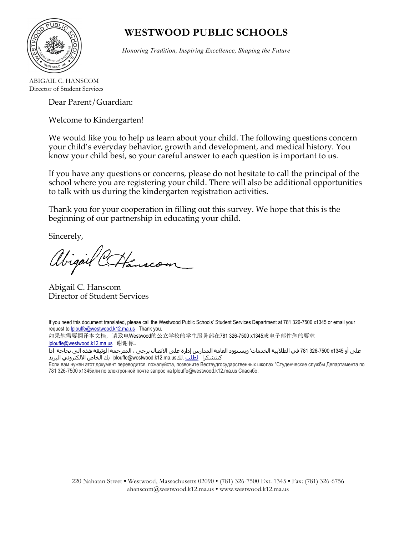

# **WESTWOOD PUBLIC SCHOOLS**

*Honoring Tradition, Inspiring Excellence, Shaping the Future*

ABIGAIL C. HANSCOM Director of Student Services

Dear Parent/Guardian:

Welcome to Kindergarten!

We would like you to help us learn about your child. The following questions concern your child's everyday behavior, growth and development, and medical history. You know your child best, so your careful answer to each question is important to us.

If you have any questions or concerns, please do not hesitate to call the principal of the school where you are registering your child. There will also be additional opportunities to talk with us during the kindergarten registration activities.

Thank you for your cooperation in filling out this survey. We hope that this is the beginning of our partnership in educating your child.

Sincerely,

Hanscom

Abigail C. Hanscom Director of Student Services

If you need this document translated, please call the Westwood Public Schools' Student Services Department at 781 326-7500 x1345 or email your request to *lplouffe@westwood.k12.ma.us* Thank you.

如果您需要翻译本文档,请致电Westwood的公立学校的学生服务部在781 326-7500 x1345或电子邮件您的要求 lplouffe@westwood.k12.ma.us 谢谢你。

على أو 1345x 326-7500 781 في الطلابیة الخدمات' ويستوود العامة المدارس إدارة على الاتصال يرجى ، المترجمة الوثیقة ھذه الى بحاجة اذا كنتشكرا <u>لطلب</u> .لكus.hlouffe@westwood.k12.ma.us. بك الخاص الالكتروني البريد

Если вам нужен этот документ переводится, пожалуйста, позвоните Вествудгосударственных школах "Студенческие службы Департамента по 781 326-7500 x1345или по электронной почте запрос на lplouffe@westwood.k12.ma.us Спасибо.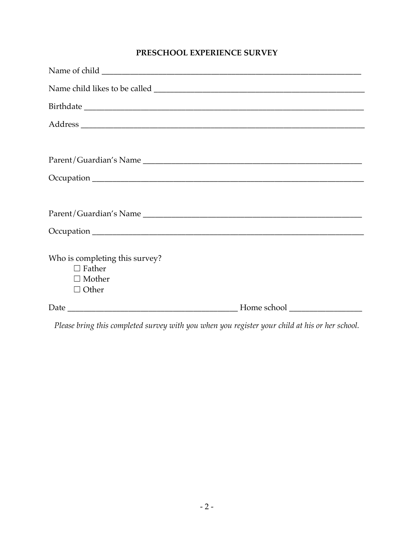### **PRESCHOOL EXPERIENCE SURVEY**

| Who is completing this survey?<br>$\Box$ Father<br>$\Box$ Mother<br>$\Box$ Other |  |
|----------------------------------------------------------------------------------|--|
|                                                                                  |  |

*Please bring this completed survey with you when you register your child at his or her school.*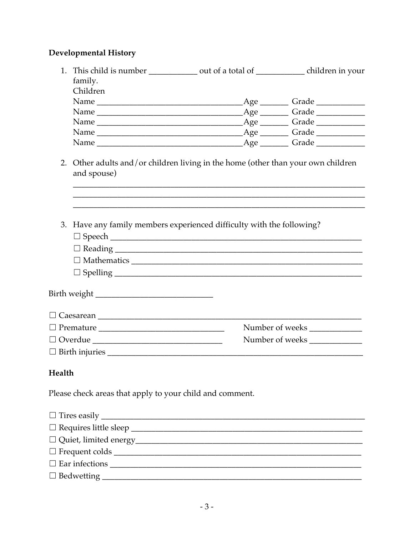### **Developmental History**

|        | 1. This child is number ______________ out of a total of _______________ children in your |  |                                   |  |  |  |
|--------|-------------------------------------------------------------------------------------------|--|-----------------------------------|--|--|--|
|        | family.                                                                                   |  |                                   |  |  |  |
|        | Children                                                                                  |  |                                   |  |  |  |
|        |                                                                                           |  | Age _________ Grade _____________ |  |  |  |
|        |                                                                                           |  |                                   |  |  |  |
|        |                                                                                           |  |                                   |  |  |  |
|        |                                                                                           |  |                                   |  |  |  |
|        |                                                                                           |  |                                   |  |  |  |
|        | 2. Other adults and/or children living in the home (other than your own children          |  |                                   |  |  |  |
|        | and spouse)                                                                               |  |                                   |  |  |  |
|        |                                                                                           |  |                                   |  |  |  |
|        |                                                                                           |  |                                   |  |  |  |
|        |                                                                                           |  |                                   |  |  |  |
|        | 3. Have any family members experienced difficulty with the following?                     |  |                                   |  |  |  |
|        |                                                                                           |  |                                   |  |  |  |
|        |                                                                                           |  |                                   |  |  |  |
|        |                                                                                           |  |                                   |  |  |  |
|        |                                                                                           |  |                                   |  |  |  |
|        |                                                                                           |  |                                   |  |  |  |
|        |                                                                                           |  |                                   |  |  |  |
|        |                                                                                           |  |                                   |  |  |  |
|        |                                                                                           |  |                                   |  |  |  |
|        |                                                                                           |  | Number of weeks                   |  |  |  |
|        | $\hfill \Box \text{ Overdue } \underline{\hspace{1cm}}$                                   |  | Number of weeks                   |  |  |  |
|        |                                                                                           |  |                                   |  |  |  |
|        |                                                                                           |  |                                   |  |  |  |
| Health |                                                                                           |  |                                   |  |  |  |
|        |                                                                                           |  |                                   |  |  |  |
|        | Please check areas that apply to your child and comment.                                  |  |                                   |  |  |  |
|        |                                                                                           |  |                                   |  |  |  |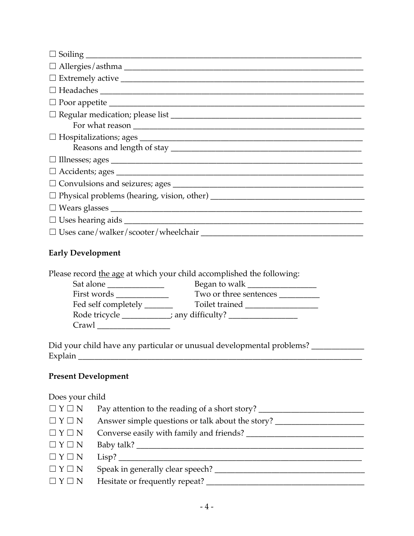| $\hfill \Box \text{ Headaches } \underline{\hspace{2cm}}$ |
|-----------------------------------------------------------|
|                                                           |
|                                                           |
|                                                           |
|                                                           |
|                                                           |
|                                                           |
|                                                           |
|                                                           |
|                                                           |
|                                                           |
|                                                           |
|                                                           |

### **Early Development**

Please record the age at which your child accomplished the following:

| Sat alone           | Began to walk                                         |
|---------------------|-------------------------------------------------------|
| First words         | Two or three sentences                                |
| Fed self completely | Toilet trained                                        |
| Rode tricycle       | $\therefore$ any difficulty? $\overline{\phantom{a}}$ |
| Crawl               |                                                       |

Did your child have any particular or unusual developmental problems? \_\_\_\_\_\_\_\_\_\_\_ Explain \_\_\_\_\_\_\_\_\_\_\_\_\_\_\_\_\_\_\_\_\_\_\_\_\_\_\_\_\_\_\_\_\_\_\_\_\_\_\_\_\_\_\_\_\_\_\_\_\_\_\_\_\_\_\_\_\_\_\_\_\_\_\_\_\_\_\_\_\_\_

### **Present Development**

### Does your child

| $\Box Y \Box N$   | Pay attention to the reading of a short story?   |
|-------------------|--------------------------------------------------|
| $\Box Y \Box N$   | Answer simple questions or talk about the story? |
| $\Box Y \Box N$   | Converse easily with family and friends?         |
| $\Box Y \Box N$   |                                                  |
| $\Box$ $Y \Box$ N | Lisp?                                            |
| $\Box Y \Box N$   | Speak in generally clear speech?                 |
| $\Box Y \Box N$   | Hesitate or frequently repeat?                   |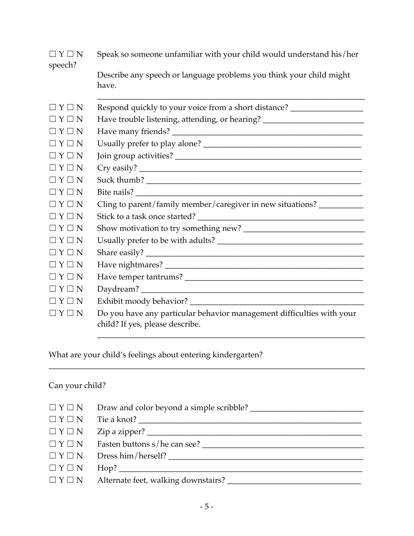| $\Box Y \Box N$<br>speech?          | Speak so someone unfamiliar with your child would understand his/her                                     |  |  |
|-------------------------------------|----------------------------------------------------------------------------------------------------------|--|--|
|                                     | Describe any speech or language problems you think your child might<br>have.                             |  |  |
| $\sqsupset Y \sqsupset N$           | Respond quickly to your voice from a short distance? ___________________________                         |  |  |
| $\Box Y \Box N$                     | Have trouble listening, attending, or hearing? _________________________________                         |  |  |
| $\Box Y \Box N$                     |                                                                                                          |  |  |
| $\Box$ $\Upsilon$ $\Box$ $\Upsilon$ |                                                                                                          |  |  |
| $\Box Y \Box N$                     |                                                                                                          |  |  |
| $\Box$ $\Upsilon$ $\Box$ $\Upsilon$ |                                                                                                          |  |  |
| $\Box$ $\Upsilon$ $\Box$ $\Upsilon$ |                                                                                                          |  |  |
| $\Box Y \Box N$                     |                                                                                                          |  |  |
| $\Box$ $\Upsilon$ $\Box$ $\Upsilon$ | Cling to parent/family member/caregiver in new situations? ______________________                        |  |  |
| $\Box$ $\Upsilon$ $\Box$ $\Upsilon$ |                                                                                                          |  |  |
| $\Box$ $\Upsilon$ $\Box$ $\Upsilon$ |                                                                                                          |  |  |
| $\Box Y \Box N$                     |                                                                                                          |  |  |
| $\Box$ $\Upsilon$ $\Box$ $\Upsilon$ |                                                                                                          |  |  |
| $\Box Y \Box N$                     |                                                                                                          |  |  |
| $\sqsupset$ Y $\sqsupset$ N         |                                                                                                          |  |  |
| $\Box Y \Box N$                     |                                                                                                          |  |  |
| $\Box$ $\Upsilon$ $\Box$ $\Upsilon$ |                                                                                                          |  |  |
| $\Box Y \Box N$                     | Do you have any particular behavior management difficulties with your<br>child? If yes, please describe. |  |  |
|                                     |                                                                                                          |  |  |

What are your child's feelings about entering kindergarten?

# Can your child?

| $\Box$ $\Upsilon$ $\Box$ $\Upsilon$ |  |
|-------------------------------------|--|
| $\Box Y \Box N$                     |  |
| $\Box Y \Box N$                     |  |
| $\Box Y \Box N$                     |  |
| $\Box Y \Box N$                     |  |
| $\Box Y \Box N$                     |  |
| $\Box$ $Y \Box N$                   |  |

\_\_\_\_\_\_\_\_\_\_\_\_\_\_\_\_\_\_\_\_\_\_\_\_\_\_\_\_\_\_\_\_\_\_\_\_\_\_\_\_\_\_\_\_\_\_\_\_\_\_\_\_\_\_\_\_\_\_\_\_\_\_\_\_\_\_\_\_\_\_\_\_\_\_\_\_\_\_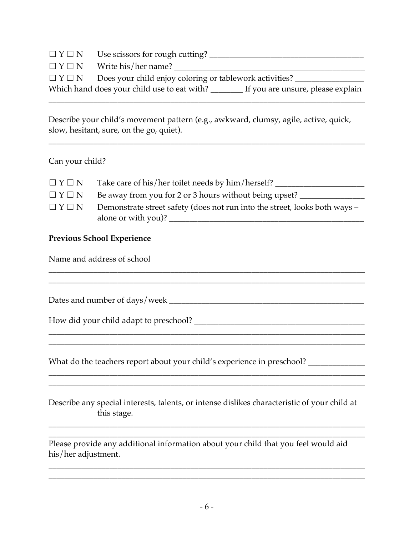| $\Box Y \Box N$                     | Use scissors for rough cutting?                                                         |
|-------------------------------------|-----------------------------------------------------------------------------------------|
| $\Box$ $Y \Box N$                   | Write his/her name?                                                                     |
| $\Box$ $\Upsilon$ $\Box$ $\Upsilon$ | Does your child enjoy coloring or tablework activities?                                 |
|                                     | Which hand does your child use to eat with? ______<br>If you are unsure, please explain |
|                                     |                                                                                         |

Describe your child's movement pattern (e.g., awkward, clumsy, agile, active, quick, slow, hesitant, sure, on the go, quiet).

\_\_\_\_\_\_\_\_\_\_\_\_\_\_\_\_\_\_\_\_\_\_\_\_\_\_\_\_\_\_\_\_\_\_\_\_\_\_\_\_\_\_\_\_\_\_\_\_\_\_\_\_\_\_\_\_\_\_\_\_\_\_\_\_\_\_\_\_\_\_\_\_\_\_\_\_\_\_

### Can your child?

| $\Box$ $Y \Box N$                   | Take care of his/her toilet needs by him/herself?                          |
|-------------------------------------|----------------------------------------------------------------------------|
| $\Box$ $\Upsilon$ $\Box$ $\Upsilon$ | Be away from you for 2 or 3 hours without being upset?                     |
| $\Box$ $\Upsilon$ $\Box$ $\Upsilon$ | Demonstrate street safety (does not run into the street, looks both ways - |
|                                     | alone or with you)?                                                        |

\_\_\_\_\_\_\_\_\_\_\_\_\_\_\_\_\_\_\_\_\_\_\_\_\_\_\_\_\_\_\_\_\_\_\_\_\_\_\_\_\_\_\_\_\_\_\_\_\_\_\_\_\_\_\_\_\_\_\_\_\_\_\_\_\_\_\_\_\_\_\_\_\_\_\_\_\_\_

\_\_\_\_\_\_\_\_\_\_\_\_\_\_\_\_\_\_\_\_\_\_\_\_\_\_\_\_\_\_\_\_\_\_\_\_\_\_\_\_\_\_\_\_\_\_\_\_\_\_\_\_\_\_\_\_\_\_\_\_\_\_\_\_\_\_\_\_\_\_\_\_\_\_\_\_\_\_

\_\_\_\_\_\_\_\_\_\_\_\_\_\_\_\_\_\_\_\_\_\_\_\_\_\_\_\_\_\_\_\_\_\_\_\_\_\_\_\_\_\_\_\_\_\_\_\_\_\_\_\_\_\_\_\_\_\_\_\_\_\_\_\_\_\_\_\_\_\_\_\_\_\_\_\_\_\_

\_\_\_\_\_\_\_\_\_\_\_\_\_\_\_\_\_\_\_\_\_\_\_\_\_\_\_\_\_\_\_\_\_\_\_\_\_\_\_\_\_\_\_\_\_\_\_\_\_\_\_\_\_\_\_\_\_\_\_\_\_\_\_\_\_\_\_\_\_\_\_\_\_\_\_\_\_\_

### **Previous School Experience**

Name and address of school

Dates and number of days/week \_\_\_\_\_\_\_\_\_\_\_\_\_\_\_\_\_\_\_\_\_\_\_\_\_\_\_\_\_\_\_\_\_\_\_\_\_\_\_\_\_\_\_\_\_\_\_\_

How did your child adapt to preschool? \_\_\_\_\_\_\_\_\_\_\_\_\_\_\_\_\_\_\_\_\_\_\_\_\_\_\_\_\_\_\_\_\_\_\_\_\_\_\_\_\_\_

What do the teachers report about your child's experience in preschool? \_\_\_\_\_\_\_\_\_

Describe any special interests, talents, or intense dislikes characteristic of your child at this stage.

\_\_\_\_\_\_\_\_\_\_\_\_\_\_\_\_\_\_\_\_\_\_\_\_\_\_\_\_\_\_\_\_\_\_\_\_\_\_\_\_\_\_\_\_\_\_\_\_\_\_\_\_\_\_\_\_\_\_\_\_\_\_\_\_\_\_\_\_\_\_\_\_\_\_\_\_\_\_ \_\_\_\_\_\_\_\_\_\_\_\_\_\_\_\_\_\_\_\_\_\_\_\_\_\_\_\_\_\_\_\_\_\_\_\_\_\_\_\_\_\_\_\_\_\_\_\_\_\_\_\_\_\_\_\_\_\_\_\_\_\_\_\_\_\_\_\_\_\_\_\_\_\_\_\_\_\_

\_\_\_\_\_\_\_\_\_\_\_\_\_\_\_\_\_\_\_\_\_\_\_\_\_\_\_\_\_\_\_\_\_\_\_\_\_\_\_\_\_\_\_\_\_\_\_\_\_\_\_\_\_\_\_\_\_\_\_\_\_\_\_\_\_\_\_\_\_\_\_\_\_\_\_\_\_\_ \_\_\_\_\_\_\_\_\_\_\_\_\_\_\_\_\_\_\_\_\_\_\_\_\_\_\_\_\_\_\_\_\_\_\_\_\_\_\_\_\_\_\_\_\_\_\_\_\_\_\_\_\_\_\_\_\_\_\_\_\_\_\_\_\_\_\_\_\_\_\_\_\_\_\_\_\_\_

\_\_\_\_\_\_\_\_\_\_\_\_\_\_\_\_\_\_\_\_\_\_\_\_\_\_\_\_\_\_\_\_\_\_\_\_\_\_\_\_\_\_\_\_\_\_\_\_\_\_\_\_\_\_\_\_\_\_\_\_\_\_\_\_\_\_\_\_\_\_\_\_\_\_\_\_\_\_

Please provide any additional information about your child that you feel would aid his/her adjustment.